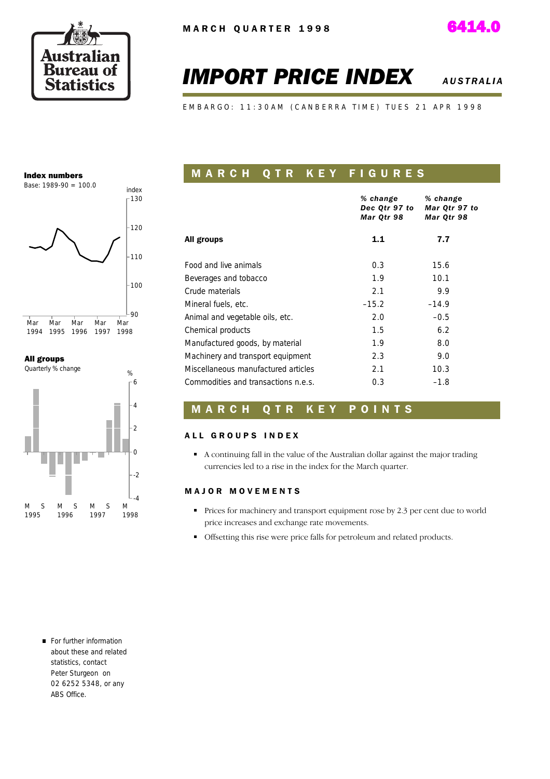

# *IMPORT PRICE INDEX AUSTRALIA*

E M B A R G O : 11:30 A M ( C A N B E R R A T I M E ) T U E S 21 A P R 1998

#### Index numbers



#### All groups



### **MARCH QTR KEY FIGURES**

|                                     | % change<br>Dec Qtr 97 to<br>Mar Qtr 98 | % change<br>Mar Qtr 97 to<br>Mar Qtr 98 |
|-------------------------------------|-----------------------------------------|-----------------------------------------|
| All groups                          | 1.1                                     | 7.7                                     |
| Food and live animals               | 0.3                                     | 15.6                                    |
| Beverages and tobacco               | 1.9                                     | 10.1                                    |
| Crude materials                     | 2.1                                     | 9.9                                     |
| Mineral fuels, etc.                 | $-15.2$                                 | $-14.9$                                 |
| Animal and vegetable oils, etc.     | 2.0                                     | $-0.5$                                  |
| Chemical products                   | 1.5                                     | 6.2                                     |
| Manufactured goods, by material     | 1.9                                     | 8.0                                     |
| Machinery and transport equipment   | 2.3                                     | 9.0                                     |
| Miscellaneous manufactured articles | 2.1                                     | 10.3                                    |
| Commodities and transactions n.e.s. | 0.3                                     | $-1.8$                                  |

#### **MARCH QTR KEY POINTS**

#### ALL GROUPS INDEX

A continuing fall in the value of the Australian dollar against the major trading currencies led to a rise in the index for the March quarter.

#### M A J O R M O V E M E N T S

- Prices for machinery and transport equipment rose by 2.3 per cent due to world price increases and exchange rate movements.
- Offsetting this rise were price falls for petroleum and related products.

For further information about these and related statistics, contact Peter Sturgeon on 02 6252 5348, or any ABS Office.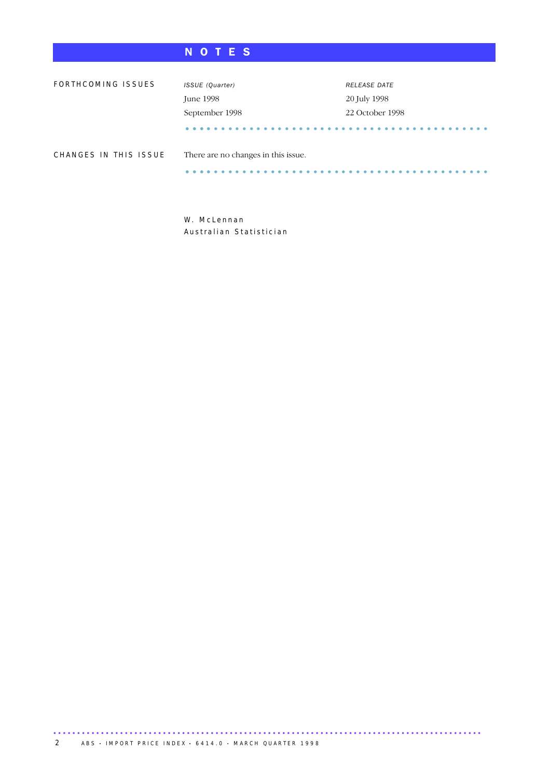### N O T E S

| FORTHCOMING ISSUES    | ISSUE (Quarter)                     | <b>RELEASE DATE</b> |  |
|-----------------------|-------------------------------------|---------------------|--|
|                       | June 1998                           | 20 July 1998        |  |
|                       | September 1998                      | 22 October 1998     |  |
|                       |                                     |                     |  |
| CHANGES IN THIS ISSUE | There are no changes in this issue. |                     |  |
|                       |                                     |                     |  |

W. McLennan Australian Statistician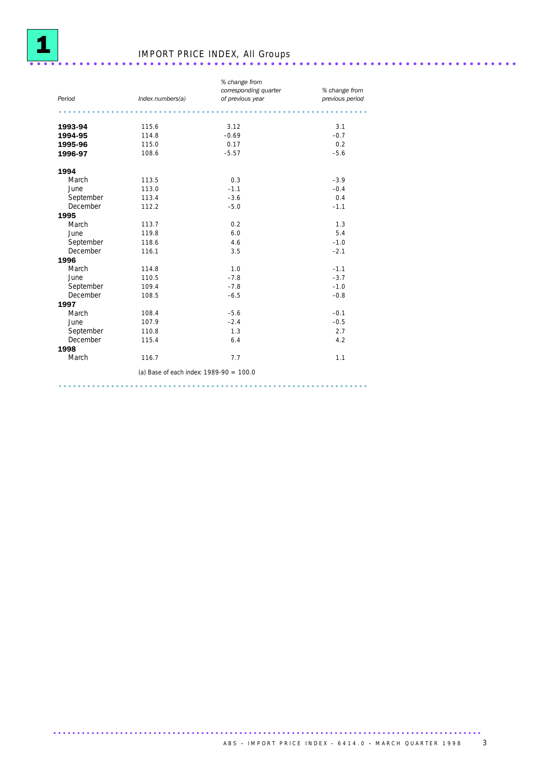

# IMPORT PRICE INDEX, All Groups ..................................................................... .

| Period    |                                           | % change from<br>corresponding quarter | % change from   |
|-----------|-------------------------------------------|----------------------------------------|-----------------|
|           | Index numbers(a)                          | of previous year                       | previous period |
|           |                                           |                                        |                 |
| 1993-94   | 115.6                                     | 3.12                                   | 3.1             |
| 1994-95   | 114.8                                     | $-0.69$                                | $-0.7$          |
| 1995-96   | 115.0                                     | 0.17                                   | 0.2             |
| 1996-97   | 108.6                                     | $-5.57$                                | $-5.6$          |
| 1994      |                                           |                                        |                 |
| March     | 113.5                                     | 0.3                                    | $-3.9$          |
| June      | 113.0                                     | $-1.1$                                 | $-0.4$          |
| September | 113.4                                     | $-3.6$                                 | 0.4             |
| December  | 112.2                                     | $-5.0$                                 | $-1.1$          |
| 1995      |                                           |                                        |                 |
| March     | 113.7                                     | 0.2                                    | 1.3             |
| June      | 119.8                                     | 6.0                                    | 5.4             |
| September | 118.6                                     | 4.6                                    | $-1.0$          |
| December  | 116.1                                     | 3.5                                    | $-2.1$          |
| 1996      |                                           |                                        |                 |
| March     | 114.8                                     | 1.0                                    | $-1.1$          |
| June      | 110.5                                     | $-7.8$                                 | $-3.7$          |
| September | 109.4                                     | $-7.8$                                 | $-1.0$          |
| December  | 108.5                                     | $-6.5$                                 | $-0.8$          |
| 1997      |                                           |                                        |                 |
| March     | 108.4                                     | $-5.6$                                 | $-0.1$          |
| June      | 107.9                                     | $-2.4$                                 | $-0.5$          |
| September | 110.8                                     | 1.3                                    | 2.7             |
| December  | 115.4                                     | 6.4                                    | 4.2             |
| 1998      |                                           |                                        |                 |
| March     | 116.7                                     | 7.7                                    | 1.1             |
|           | (a) Base of each index: $1989-90 = 100.0$ |                                        |                 |
|           |                                           |                                        |                 |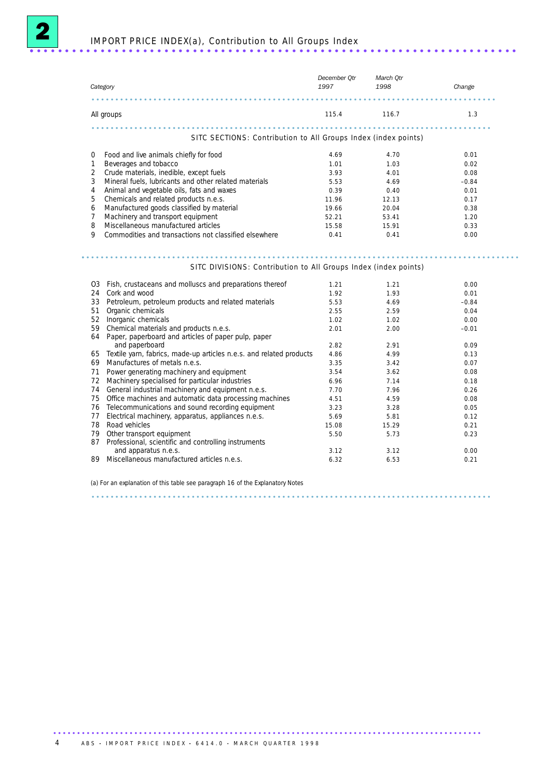2

| Category       |                                                                                                  | December Qtr<br>1997 | March Qtr<br>1998 | Change       |
|----------------|--------------------------------------------------------------------------------------------------|----------------------|-------------------|--------------|
|                |                                                                                                  |                      |                   |              |
|                | All groups                                                                                       | 115.4 116.7          |                   | 1.3          |
|                | SITC SECTIONS: Contribution to All Groups Index (index points)                                   |                      |                   |              |
| 0              | Food and live animals chiefly for food                                                           | 4.69                 | 4.70              | 0.01         |
| 1              | Beverages and tobacco                                                                            | 1.01                 | 1.03              | 0.02         |
| $\overline{2}$ | Crude materials, inedible, except fuels                                                          | 3.93                 | 4.01              | 0.08         |
| 3              | Mineral fuels, lubricants and other related materials                                            | 5.53                 | 4.69              | $-0.84$      |
| 4              | Animal and vegetable oils, fats and waxes                                                        | 0.39                 | 0.40              | 0.01         |
| 5              | Chemicals and related products n.e.s.                                                            | 11.96                | 12.13             | 0.17         |
| 6              | Manufactured goods classified by material                                                        | 19.66                | 20.04             | 0.38         |
| $\overline{7}$ | Machinery and transport equipment                                                                | 52.21                | 53.41             | 1.20         |
| 8              | Miscellaneous manufactured articles                                                              | 15.58                | 15.91             | 0.33         |
| 9              | Commodities and transactions not classified elsewhere                                            | 0.41                 | 0.41              | 0.00         |
|                | SITC DIVISIONS: Contribution to All Groups Index (index points)                                  |                      |                   |              |
|                | 03 Fish, crustaceans and molluscs and preparations thereof                                       | 1.21                 | 1.21              | 0.00         |
| 24             | Cork and wood                                                                                    | 1.92                 | 1.93              | 0.01         |
| 33             | Petroleum, petroleum products and related materials                                              | 5.53                 | 4.69              | $-0.84$      |
| 51             | Organic chemicals                                                                                | 2.55                 | 2.59              | 0.04         |
| 52             | Inorganic chemicals                                                                              | 1.02                 | 1.02              | 0.00         |
| 59             | Chemical materials and products n.e.s.<br>64 Paper, paperboard and articles of paper pulp, paper | 2.01                 | 2.00              | $-0.01$      |
|                | and paperboard                                                                                   | 2.82                 | 2.91              | 0.09         |
|                | 65 Textile yarn, fabrics, made-up articles n.e.s. and related products                           | 4.86                 | 4.99              | 0.13         |
| 69             | Manufactures of metals n.e.s.                                                                    | 3.35                 | 3.42              | 0.07         |
| 71             | Power generating machinery and equipment                                                         | 3.54                 | 3.62              | 0.08         |
| 72             | Machinery specialised for particular industries                                                  | 6.96                 | 7.14              | 0.18         |
| 74             | General industrial machinery and equipment n.e.s.                                                | 7.70                 | 7.96              | 0.26         |
| 75             | Office machines and automatic data processing machines                                           | 4.51                 | 4.59              | 0.08         |
| 76             | Telecommunications and sound recording equipment                                                 | 3.23                 | 3.28              | 0.05         |
| 77             | Electrical machinery, apparatus, appliances n.e.s.                                               | 5.69                 | 5.81              | 0.12         |
| 78             | Road vehicles                                                                                    | 15.08                | 15.29             | 0.21         |
| 79             | Other transport equipment                                                                        | 5.50                 | 5.73              | 0.23         |
|                | 87 Professional, scientific and controlling instruments                                          |                      |                   |              |
|                | and apparatus n.e.s.<br>89 Miscellaneous manufactured articles n.e.s.                            | 3.12<br>6.32         | 3.12<br>6.53      | 0.00<br>0.21 |
|                |                                                                                                  |                      |                   |              |

(a) For an explanation of this table see paragraph 16 of the Explanatory Notes

....................................................................................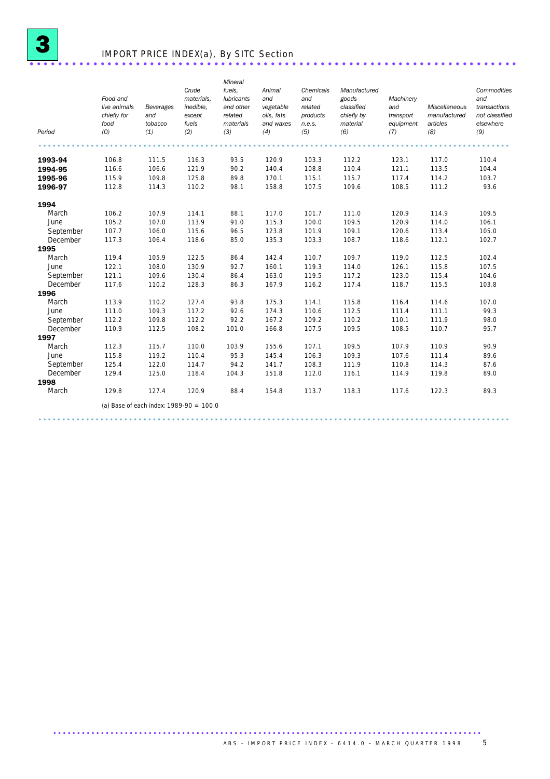

### IMPORT PRICE INDEX(a), By SITC Section ..................................................................... .

| Period    | Food and<br>live animals<br>chiefly for<br>food<br>(0) | Beverages<br>and<br>tobacco<br>(1)        | Crude<br>materials.<br>inedible,<br>except<br>fuels<br>(2) | Mineral<br>fuels.<br><b>lubricants</b><br>and other<br>related<br>materials<br>(3) | Animal<br>and<br>vegetable<br>oils, fats<br>and waxes<br>(4) | Chemicals<br>and<br>related<br>products<br>n.e.s.<br>(5) | Manufactured<br>goods<br>classified<br>chiefly by<br>material<br>(6) | Machinery<br>and<br>transport<br>equipment<br>(7) | Miscellaneous<br>manufactured<br>articles<br>(8) | Commodities<br>and<br>transactions<br>not classified<br>elsewhere<br>(9) |
|-----------|--------------------------------------------------------|-------------------------------------------|------------------------------------------------------------|------------------------------------------------------------------------------------|--------------------------------------------------------------|----------------------------------------------------------|----------------------------------------------------------------------|---------------------------------------------------|--------------------------------------------------|--------------------------------------------------------------------------|
|           |                                                        |                                           |                                                            |                                                                                    |                                                              |                                                          |                                                                      |                                                   |                                                  |                                                                          |
| 1993-94   | 106.8                                                  | 111.5                                     | 116.3                                                      | 93.5                                                                               | 120.9                                                        | 103.3                                                    | 112.2                                                                | 123.1                                             | 117.0                                            | 110.4                                                                    |
| 1994-95   | 116.6                                                  | 106.6                                     | 121.9                                                      | 90.2                                                                               | 140.4                                                        | 108.8                                                    | 110.4                                                                | 121.1                                             | 113.5                                            | 104.4                                                                    |
| 1995-96   | 115.9                                                  | 109.8                                     | 125.8                                                      | 89.8                                                                               | 170.1                                                        | 115.1                                                    | 115.7                                                                | 117.4                                             | 114.2                                            | 103.7                                                                    |
| 1996-97   | 112.8                                                  | 114.3                                     | 110.2                                                      | 98.1                                                                               | 158.8                                                        | 107.5                                                    | 109.6                                                                | 108.5                                             | 111.2                                            | 93.6                                                                     |
| 1994      |                                                        |                                           |                                                            |                                                                                    |                                                              |                                                          |                                                                      |                                                   |                                                  |                                                                          |
| March     | 106.2                                                  | 107.9                                     | 114.1                                                      | 88.1                                                                               | 117.0                                                        | 101.7                                                    | 111.0                                                                | 120.9                                             | 114.9                                            | 109.5                                                                    |
| June      | 105.2                                                  | 107.0                                     | 113.9                                                      | 91.0                                                                               | 115.3                                                        | 100.0                                                    | 109.5                                                                | 120.9                                             | 114.0                                            | 106.1                                                                    |
| September | 107.7                                                  | 106.0                                     | 115.6                                                      | 96.5                                                                               | 123.8                                                        | 101.9                                                    | 109.1                                                                | 120.6                                             | 113.4                                            | 105.0                                                                    |
| December  | 117.3                                                  | 106.4                                     | 118.6                                                      | 85.0                                                                               | 135.3                                                        | 103.3                                                    | 108.7                                                                | 118.6                                             | 112.1                                            | 102.7                                                                    |
| 1995      |                                                        |                                           |                                                            |                                                                                    |                                                              |                                                          |                                                                      |                                                   |                                                  |                                                                          |
| March     | 119.4                                                  | 105.9                                     | 122.5                                                      | 86.4                                                                               | 142.4                                                        | 110.7                                                    | 109.7                                                                | 119.0                                             | 112.5                                            | 102.4                                                                    |
| June      | 122.1                                                  | 108.0                                     | 130.9                                                      | 92.7                                                                               | 160.1                                                        | 119.3                                                    | 114.0                                                                | 126.1                                             | 115.8                                            | 107.5                                                                    |
| September | 121.1                                                  | 109.6                                     | 130.4                                                      | 86.4                                                                               | 163.0                                                        | 119.5                                                    | 117.2                                                                | 123.0                                             | 115.4                                            | 104.6                                                                    |
| December  | 117.6                                                  | 110.2                                     | 128.3                                                      | 86.3                                                                               | 167.9                                                        | 116.2                                                    | 117.4                                                                | 118.7                                             | 115.5                                            | 103.8                                                                    |
| 1996      |                                                        |                                           |                                                            |                                                                                    |                                                              |                                                          |                                                                      |                                                   |                                                  |                                                                          |
| March     | 113.9                                                  | 110.2                                     | 127.4                                                      | 93.8                                                                               | 175.3                                                        | 114.1                                                    | 115.8                                                                | 116.4                                             | 114.6                                            | 107.0                                                                    |
| June      | 111.0                                                  | 109.3                                     | 117.2                                                      | 92.6                                                                               | 174.3                                                        | 110.6                                                    | 112.5                                                                | 111.4                                             | 111.1                                            | 99.3                                                                     |
| September | 112.2                                                  | 109.8                                     | 112.2                                                      | 92.2                                                                               | 167.2                                                        | 109.2                                                    | 110.2                                                                | 110.1                                             | 111.9                                            | 98.0                                                                     |
| December  | 110.9                                                  | 112.5                                     | 108.2                                                      | 101.0                                                                              | 166.8                                                        | 107.5                                                    | 109.5                                                                | 108.5                                             | 110.7                                            | 95.7                                                                     |
| 1997      |                                                        |                                           |                                                            |                                                                                    |                                                              |                                                          |                                                                      |                                                   |                                                  |                                                                          |
| March     | 112.3                                                  | 115.7                                     | 110.0                                                      | 103.9                                                                              | 155.6                                                        | 107.1                                                    | 109.5                                                                | 107.9                                             | 110.9                                            | 90.9                                                                     |
| June      | 115.8                                                  | 119.2                                     | 110.4                                                      | 95.3                                                                               | 145.4                                                        | 106.3                                                    | 109.3                                                                | 107.6                                             | 111.4                                            | 89.6                                                                     |
| September | 125.4                                                  | 122.0                                     | 114.7                                                      | 94.2                                                                               | 141.7                                                        | 108.3                                                    | 111.9                                                                | 110.8                                             | 114.3                                            | 87.6                                                                     |
| December  | 129.4                                                  | 125.0                                     | 118.4                                                      | 104.3                                                                              | 151.8                                                        | 112.0                                                    | 116.1                                                                | 114.9                                             | 119.8                                            | 89.0                                                                     |
| 1998      |                                                        |                                           |                                                            |                                                                                    |                                                              |                                                          |                                                                      |                                                   |                                                  |                                                                          |
| March     | 129.8                                                  | 127.4                                     | 120.9                                                      | 88.4                                                                               | 154.8                                                        | 113.7                                                    | 118.3                                                                | 117.6                                             | 122.3                                            | 89.3                                                                     |
|           |                                                        | (a) Base of each index: $1989-90 = 100.0$ |                                                            |                                                                                    |                                                              |                                                          |                                                                      |                                                   |                                                  |                                                                          |
|           |                                                        |                                           |                                                            |                                                                                    |                                                              |                                                          |                                                                      |                                                   |                                                  |                                                                          |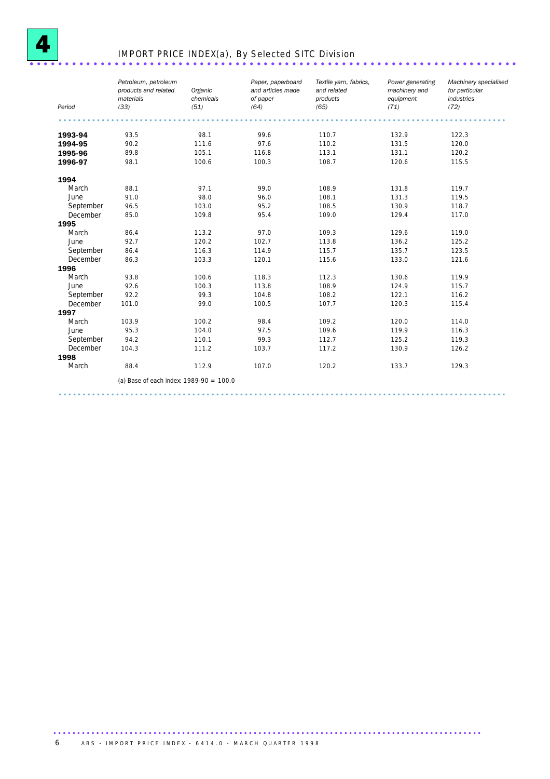

### IMPORT PRICE INDEX(a), By Selected SITC Division ................................

| Period    | Petroleum, petroleum<br>products and related<br>materials<br>(33) | Organic<br>chemicals<br>(51) | Paper, paperboard<br>and articles made<br>of paper<br>(64) | Textile yarn, fabrics,<br>and related<br>products<br>(65) | Power generating<br>machinery and<br>equipment<br>(71) | Machinery specialised<br>for particular<br>industries<br>(72) |
|-----------|-------------------------------------------------------------------|------------------------------|------------------------------------------------------------|-----------------------------------------------------------|--------------------------------------------------------|---------------------------------------------------------------|
|           |                                                                   |                              |                                                            |                                                           |                                                        |                                                               |
| 1993-94   | 93.5                                                              | 98.1                         | 99.6                                                       | 110.7                                                     | 132.9                                                  | 122.3                                                         |
| 1994-95   | 90.2                                                              | 111.6                        | 97.6                                                       | 110.2                                                     | 131.5                                                  | 120.0                                                         |
| 1995-96   | 89.8                                                              | 105.1                        | 116.8                                                      | 113.1                                                     | 131.1                                                  | 120.2                                                         |
| 1996-97   | 98.1                                                              | 100.6                        | 100.3                                                      | 108.7                                                     | 120.6                                                  | 115.5                                                         |
| 1994      |                                                                   |                              |                                                            |                                                           |                                                        |                                                               |
| March     | 88.1                                                              | 97.1                         | 99.0                                                       | 108.9                                                     | 131.8                                                  | 119.7                                                         |
| June      | 91.0                                                              | 98.0                         | 96.0                                                       | 108.1                                                     | 131.3                                                  | 119.5                                                         |
| September | 96.5                                                              | 103.0                        | 95.2                                                       | 108.5                                                     | 130.9                                                  | 118.7                                                         |
| December  | 85.0                                                              | 109.8                        | 95.4                                                       | 109.0                                                     | 129.4                                                  | 117.0                                                         |
| 1995      |                                                                   |                              |                                                            |                                                           |                                                        |                                                               |
| March     | 86.4                                                              | 113.2                        | 97.0                                                       | 109.3                                                     | 129.6                                                  | 119.0                                                         |
| June      | 92.7                                                              | 120.2                        | 102.7                                                      | 113.8                                                     | 136.2                                                  | 125.2                                                         |
| September | 86.4                                                              | 116.3                        | 114.9                                                      | 115.7                                                     | 135.7                                                  | 123.5                                                         |
| December  | 86.3                                                              | 103.3                        | 120.1                                                      | 115.6                                                     | 133.0                                                  | 121.6                                                         |
| 1996      |                                                                   |                              |                                                            |                                                           |                                                        |                                                               |
| March     | 93.8                                                              | 100.6                        | 118.3                                                      | 112.3                                                     | 130.6                                                  | 119.9                                                         |
| June      | 92.6                                                              | 100.3                        | 113.8                                                      | 108.9                                                     | 124.9                                                  | 115.7                                                         |
| September | 92.2                                                              | 99.3                         | 104.8                                                      | 108.2                                                     | 122.1                                                  | 116.2                                                         |
| December  | 101.0                                                             | 99.0                         | 100.5                                                      | 107.7                                                     | 120.3                                                  | 115.4                                                         |
| 1997      |                                                                   |                              |                                                            |                                                           |                                                        |                                                               |
| March     | 103.9                                                             | 100.2                        | 98.4                                                       | 109.2                                                     | 120.0                                                  | 114.0                                                         |
| June      | 95.3                                                              | 104.0                        | 97.5                                                       | 109.6                                                     | 119.9                                                  | 116.3                                                         |
| September | 94.2                                                              | 110.1                        | 99.3                                                       | 112.7                                                     | 125.2                                                  | 119.3                                                         |
| December  | 104.3                                                             | 111.2                        | 103.7                                                      | 117.2                                                     | 130.9                                                  | 126.2                                                         |
| 1998      |                                                                   |                              |                                                            |                                                           |                                                        |                                                               |
| March     | 88.4                                                              | 112.9                        | 107.0                                                      | 120.2                                                     | 133.7                                                  | 129.3                                                         |
|           | (a) Base of each index: $1989-90 = 100.0$                         |                              |                                                            |                                                           |                                                        |                                                               |

..............................................................................................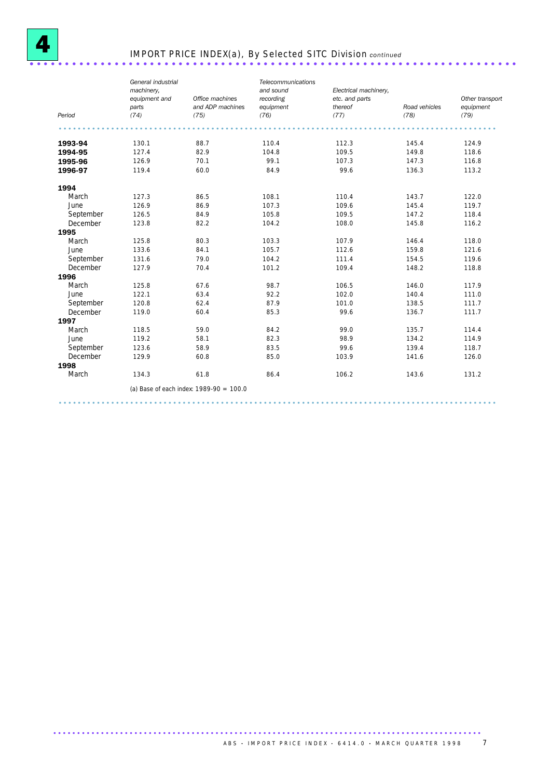

# IMPORT PRICE INDEX(a), By Selected SITC Division *continued* ..................................................................... .

|           | General industrial<br>machinery.<br>equipment and<br>parts | Office machines<br>and ADP machines       | Telecommunications<br>and sound<br>recording<br>equipment | Electrical machinery,<br>etc. and parts<br>thereof | Road vehicles | Other transport<br>equipment |
|-----------|------------------------------------------------------------|-------------------------------------------|-----------------------------------------------------------|----------------------------------------------------|---------------|------------------------------|
| Period    | (74)                                                       | (75)                                      | (76)                                                      | (77)                                               | (78)          | (79)                         |
|           |                                                            |                                           |                                                           |                                                    |               |                              |
| 1993-94   | 130.1                                                      | 88.7                                      | 110.4                                                     | 112.3                                              | 145.4         | 124.9                        |
| 1994-95   | 127.4                                                      | 82.9                                      | 104.8                                                     | 109.5                                              | 149.8         | 118.6                        |
| 1995-96   | 126.9                                                      | 70.1                                      | 99.1                                                      | 107.3                                              | 147.3         | 116.8                        |
| 1996-97   | 119.4                                                      | 60.0                                      | 84.9                                                      | 99.6                                               | 136.3         | 113.2                        |
| 1994      |                                                            |                                           |                                                           |                                                    |               |                              |
| March     | 127.3                                                      | 86.5                                      | 108.1                                                     | 110.4                                              | 143.7         | 122.0                        |
| June      | 126.9                                                      | 86.9                                      | 107.3                                                     | 109.6                                              | 145.4         | 119.7                        |
| September | 126.5                                                      | 84.9                                      | 105.8                                                     | 109.5                                              | 147.2         | 118.4                        |
| December  | 123.8                                                      | 82.2                                      | 104.2                                                     | 108.0                                              | 145.8         | 116.2                        |
| 1995      |                                                            |                                           |                                                           |                                                    |               |                              |
| March     | 125.8                                                      | 80.3                                      | 103.3                                                     | 107.9                                              | 146.4         | 118.0                        |
| June      | 133.6                                                      | 84.1                                      | 105.7                                                     | 112.6                                              | 159.8         | 121.6                        |
| September | 131.6                                                      | 79.0                                      | 104.2                                                     | 111.4                                              | 154.5         | 119.6                        |
| December  | 127.9                                                      | 70.4                                      | 101.2                                                     | 109.4                                              | 148.2         | 118.8                        |
| 1996      |                                                            |                                           |                                                           |                                                    |               |                              |
| March     | 125.8                                                      | 67.6                                      | 98.7                                                      | 106.5                                              | 146.0         | 117.9                        |
| June      | 122.1                                                      | 63.4                                      | 92.2                                                      | 102.0                                              | 140.4         | 111.0                        |
| September | 120.8                                                      | 62.4                                      | 87.9                                                      | 101.0                                              | 138.5         | 111.7                        |
| December  | 119.0                                                      | 60.4                                      | 85.3                                                      | 99.6                                               | 136.7         | 111.7                        |
| 1997      |                                                            |                                           |                                                           |                                                    |               |                              |
| March     | 118.5                                                      | 59.0                                      | 84.2                                                      | 99.0                                               | 135.7         | 114.4                        |
| June      | 119.2                                                      | 58.1                                      | 82.3                                                      | 98.9                                               | 134.2         | 114.9                        |
| September | 123.6                                                      | 58.9                                      | 83.5                                                      | 99.6                                               | 139.4         | 118.7                        |
| December  | 129.9                                                      | 60.8                                      | 85.0                                                      | 103.9                                              | 141.6         | 126.0                        |
| 1998      |                                                            |                                           |                                                           |                                                    |               |                              |
| March     | 134.3                                                      | 61.8                                      | 86.4                                                      | 106.2                                              | 143.6         | 131.2                        |
|           |                                                            | (a) Base of each index: $1989-90 = 100.0$ |                                                           |                                                    |               |                              |
|           |                                                            |                                           |                                                           |                                                    |               |                              |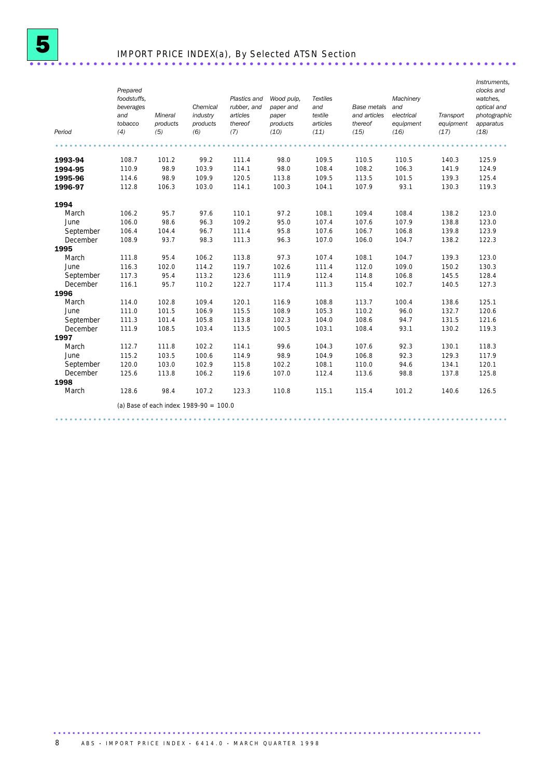## IMPORT PRICE INDEX(a), By Selected ATSN Section ................................

| Period    | Prepared<br>foodstuffs.<br>beverages<br>and<br>tobacco<br>(4) | Mineral<br>products<br>(5) | Chemical<br>industry<br>products<br>(6)   | Plastics and<br>rubber, and<br>articles<br>thereof<br>(7) | Wood pulp,<br>paper and<br>paper<br>products<br>(10) | <b>Textiles</b><br>and<br>textile<br>articles<br>(11) | Base metals<br>and articles<br>thereof<br>(15) | Machinery<br>and<br>electrical<br>equipment<br>(16) | Transport<br>equipment<br>(17) | Instruments,<br>clocks and<br>watches.<br>optical and<br>photographic<br>apparatus<br>(18) |
|-----------|---------------------------------------------------------------|----------------------------|-------------------------------------------|-----------------------------------------------------------|------------------------------------------------------|-------------------------------------------------------|------------------------------------------------|-----------------------------------------------------|--------------------------------|--------------------------------------------------------------------------------------------|
|           |                                                               |                            |                                           |                                                           |                                                      |                                                       |                                                |                                                     |                                |                                                                                            |
| 1993-94   | 108.7                                                         | 101.2                      | 99.2                                      | 111.4                                                     | 98.0                                                 | 109.5                                                 | 110.5                                          | 110.5                                               | 140.3                          | 125.9                                                                                      |
| 1994-95   | 110.9                                                         | 98.9                       | 103.9                                     | 114.1                                                     | 98.0                                                 | 108.4                                                 | 108.2                                          | 106.3                                               | 141.9                          | 124.9                                                                                      |
| 1995-96   | 114.6                                                         | 98.9                       | 109.9                                     | 120.5                                                     | 113.8                                                | 109.5                                                 | 113.5                                          | 101.5                                               | 139.3                          | 125.4                                                                                      |
| 1996-97   | 112.8                                                         | 106.3                      | 103.0                                     | 114.1                                                     | 100.3                                                | 104.1                                                 | 107.9                                          | 93.1                                                | 130.3                          | 119.3                                                                                      |
| 1994      |                                                               |                            |                                           |                                                           |                                                      |                                                       |                                                |                                                     |                                |                                                                                            |
| March     | 106.2                                                         | 95.7                       | 97.6                                      | 110.1                                                     | 97.2                                                 | 108.1                                                 | 109.4                                          | 108.4                                               | 138.2                          | 123.0                                                                                      |
| June      | 106.0                                                         | 98.6                       | 96.3                                      | 109.2                                                     | 95.0                                                 | 107.4                                                 | 107.6                                          | 107.9                                               | 138.8                          | 123.0                                                                                      |
| September | 106.4                                                         | 104.4                      | 96.7                                      | 111.4                                                     | 95.8                                                 | 107.6                                                 | 106.7                                          | 106.8                                               | 139.8                          | 123.9                                                                                      |
| December  | 108.9                                                         | 93.7                       | 98.3                                      | 111.3                                                     | 96.3                                                 | 107.0                                                 | 106.0                                          | 104.7                                               | 138.2                          | 122.3                                                                                      |
| 1995      |                                                               |                            |                                           |                                                           |                                                      |                                                       |                                                |                                                     |                                |                                                                                            |
| March     | 111.8                                                         | 95.4                       | 106.2                                     | 113.8                                                     | 97.3                                                 | 107.4                                                 | 108.1                                          | 104.7                                               | 139.3                          | 123.0                                                                                      |
| June      | 116.3                                                         | 102.0                      | 114.2                                     | 119.7                                                     | 102.6                                                | 111.4                                                 | 112.0                                          | 109.0                                               | 150.2                          | 130.3                                                                                      |
| September | 117.3                                                         | 95.4                       | 113.2                                     | 123.6                                                     | 111.9                                                | 112.4                                                 | 114.8                                          | 106.8                                               | 145.5                          | 128.4                                                                                      |
| December  | 116.1                                                         | 95.7                       | 110.2                                     | 122.7                                                     | 117.4                                                | 111.3                                                 | 115.4                                          | 102.7                                               | 140.5                          | 127.3                                                                                      |
| 1996      |                                                               |                            |                                           |                                                           |                                                      |                                                       |                                                |                                                     |                                |                                                                                            |
| March     | 114.0                                                         | 102.8                      | 109.4                                     | 120.1                                                     | 116.9                                                | 108.8                                                 | 113.7                                          | 100.4                                               | 138.6                          | 125.1                                                                                      |
| June      | 111.0                                                         | 101.5                      | 106.9                                     | 115.5                                                     | 108.9                                                | 105.3                                                 | 110.2                                          | 96.0                                                | 132.7                          | 120.6                                                                                      |
| September | 111.3                                                         | 101.4                      | 105.8                                     | 113.8                                                     | 102.3                                                | 104.0                                                 | 108.6                                          | 94.7                                                | 131.5                          | 121.6                                                                                      |
| December  | 111.9                                                         | 108.5                      | 103.4                                     | 113.5                                                     | 100.5                                                | 103.1                                                 | 108.4                                          | 93.1                                                | 130.2                          | 119.3                                                                                      |
| 1997      |                                                               |                            |                                           |                                                           |                                                      |                                                       |                                                |                                                     |                                |                                                                                            |
| March     | 112.7                                                         | 111.8                      | 102.2                                     | 114.1                                                     | 99.6                                                 | 104.3                                                 | 107.6                                          | 92.3                                                | 130.1                          | 118.3                                                                                      |
| June      | 115.2                                                         | 103.5                      | 100.6                                     | 114.9                                                     | 98.9                                                 | 104.9                                                 | 106.8                                          | 92.3                                                | 129.3                          | 117.9                                                                                      |
| September | 120.0                                                         | 103.0                      | 102.9                                     | 115.8                                                     | 102.2                                                | 108.1                                                 | 110.0                                          | 94.6                                                | 134.1                          | 120.1                                                                                      |
| December  | 125.6                                                         | 113.8                      | 106.2                                     | 119.6                                                     | 107.0                                                | 112.4                                                 | 113.6                                          | 98.8                                                | 137.8                          | 125.8                                                                                      |
| 1998      |                                                               |                            |                                           |                                                           |                                                      |                                                       |                                                |                                                     |                                |                                                                                            |
| March     | 128.6                                                         | 98.4                       | 107.2                                     | 123.3                                                     | 110.8                                                | 115.1                                                 | 115.4                                          | 101.2                                               | 140.6                          | 126.5                                                                                      |
|           |                                                               |                            | (a) Base of each index: $1989-90 = 100.0$ |                                                           |                                                      |                                                       |                                                |                                                     |                                |                                                                                            |
|           |                                                               |                            |                                           |                                                           |                                                      |                                                       |                                                |                                                     |                                |                                                                                            |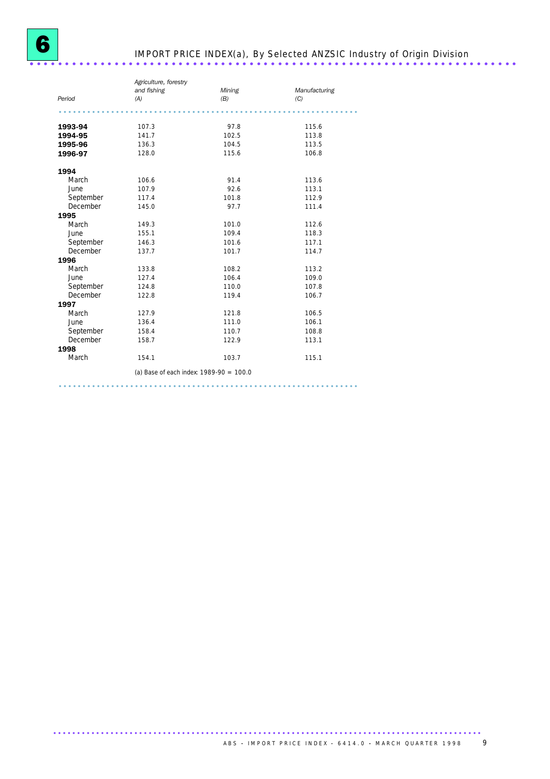### IMPORT PRICE INDEX(a), By Selected ANZSIC Industry of Origin Division ..................................................................... .

|           | Agriculture, forestry |                                           |               |  |  |  |  |  |
|-----------|-----------------------|-------------------------------------------|---------------|--|--|--|--|--|
|           | and fishing           | Mining                                    | Manufacturing |  |  |  |  |  |
| Period    | (A)                   | (B)                                       | (C)           |  |  |  |  |  |
|           |                       |                                           |               |  |  |  |  |  |
| 1993-94   | 107.3                 | 97.8                                      | 115.6         |  |  |  |  |  |
| 1994-95   | 141.7                 | 102.5                                     | 113.8         |  |  |  |  |  |
| 1995-96   | 136.3                 | 104.5                                     | 113.5         |  |  |  |  |  |
| 1996-97   | 128.0                 | 115.6                                     | 106.8         |  |  |  |  |  |
| 1994      |                       |                                           |               |  |  |  |  |  |
| March     | 106.6                 | 91.4                                      | 113.6         |  |  |  |  |  |
| June      | 107.9                 | 92.6                                      | 113.1         |  |  |  |  |  |
| September | 117.4                 | 101.8                                     | 112.9         |  |  |  |  |  |
| December  | 145.0                 | 97.7                                      | 111.4         |  |  |  |  |  |
| 1995      |                       |                                           |               |  |  |  |  |  |
| March     | 149.3                 | 101.0                                     | 112.6         |  |  |  |  |  |
| June      | 155.1                 | 109.4                                     | 118.3         |  |  |  |  |  |
| September | 146.3                 | 101.6                                     | 117.1         |  |  |  |  |  |
| December  | 137.7                 | 101.7                                     | 114.7         |  |  |  |  |  |
| 1996      |                       |                                           |               |  |  |  |  |  |
| March     | 133.8                 | 108.2                                     | 113.2         |  |  |  |  |  |
| June      | 127.4                 | 106.4                                     | 109.0         |  |  |  |  |  |
| September | 124.8                 | 110.0                                     | 107.8         |  |  |  |  |  |
| December  | 122.8                 | 119.4                                     | 106.7         |  |  |  |  |  |
| 1997      |                       |                                           |               |  |  |  |  |  |
| March     | 127.9                 | 121.8                                     | 106.5         |  |  |  |  |  |
| June      | 136.4                 | 111.0                                     | 106.1         |  |  |  |  |  |
| September | 158.4                 | 110.7                                     | 108.8         |  |  |  |  |  |
| December  | 158.7                 | 122.9                                     | 113.1         |  |  |  |  |  |
| 1998      |                       |                                           |               |  |  |  |  |  |
| March     | 154.1                 | 103.7                                     | 115.1         |  |  |  |  |  |
|           |                       | (a) Base of each index: $1989-90 = 100.0$ |               |  |  |  |  |  |

...............................................................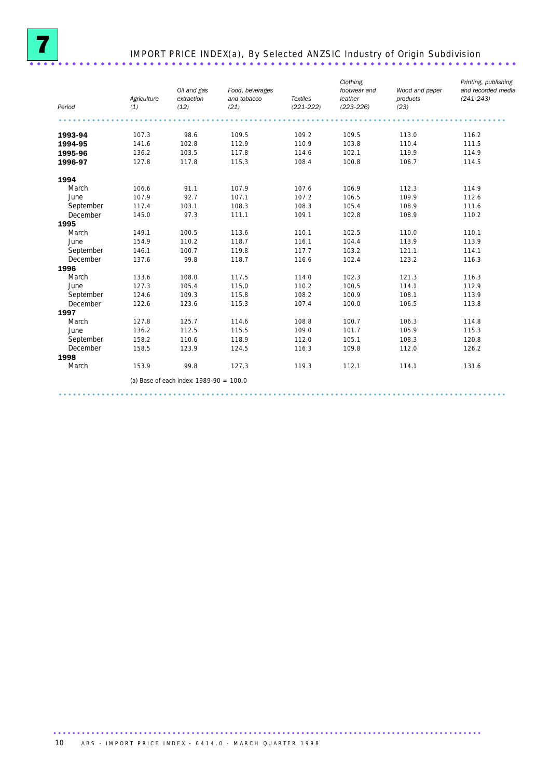

### IMPORT PRICE INDEX(a), By Selected ANZSIC Industry of Origin Subdivision ..................................................................... .

| Period    | Agriculture<br>(1) | Oil and gas<br>extraction<br>(12)         | Food, beverages<br>and tobacco<br>(21) | <b>Textiles</b><br>$(221 - 222)$ | Clothing,<br>footwear and<br>leather<br>$(223 - 226)$ | Wood and paper<br>products<br>(23) | Printing, publishing<br>and recorded media<br>$(241 - 243)$ |
|-----------|--------------------|-------------------------------------------|----------------------------------------|----------------------------------|-------------------------------------------------------|------------------------------------|-------------------------------------------------------------|
|           |                    |                                           |                                        |                                  |                                                       |                                    |                                                             |
| 1993-94   | 107.3              | 98.6                                      | 109.5                                  | 109.2                            | 109.5                                                 | 113.0                              | 116.2                                                       |
| 1994-95   | 141.6              | 102.8                                     | 112.9                                  | 110.9                            | 103.8                                                 | 110.4                              | 111.5                                                       |
| 1995-96   | 136.2              | 103.5                                     | 117.8                                  | 114.6                            | 102.1                                                 | 119.9                              | 114.9                                                       |
| 1996-97   | 127.8              | 117.8                                     | 115.3                                  | 108.4                            | 100.8                                                 | 106.7                              | 114.5                                                       |
| 1994      |                    |                                           |                                        |                                  |                                                       |                                    |                                                             |
| March     | 106.6              | 91.1                                      | 107.9                                  | 107.6                            | 106.9                                                 | 112.3                              | 114.9                                                       |
| June      | 107.9              | 92.7                                      | 107.1                                  | 107.2                            | 106.5                                                 | 109.9                              | 112.6                                                       |
| September | 117.4              | 103.1                                     | 108.3                                  | 108.3                            | 105.4                                                 | 108.9                              | 111.6                                                       |
| December  | 145.0              | 97.3                                      | 111.1                                  | 109.1                            | 102.8                                                 | 108.9                              | 110.2                                                       |
| 1995      |                    |                                           |                                        |                                  |                                                       |                                    |                                                             |
| March     | 149.1              | 100.5                                     | 113.6                                  | 110.1                            | 102.5                                                 | 110.0                              | 110.1                                                       |
| June      | 154.9              | 110.2                                     | 118.7                                  | 116.1                            | 104.4                                                 | 113.9                              | 113.9                                                       |
| September | 146.1              | 100.7                                     | 119.8                                  | 117.7                            | 103.2                                                 | 121.1                              | 114.1                                                       |
| December  | 137.6              | 99.8                                      | 118.7                                  | 116.6                            | 102.4                                                 | 123.2                              | 116.3                                                       |
| 1996      |                    |                                           |                                        |                                  |                                                       |                                    |                                                             |
| March     | 133.6              | 108.0                                     | 117.5                                  | 114.0                            | 102.3                                                 | 121.3                              | 116.3                                                       |
| June      | 127.3              | 105.4                                     | 115.0                                  | 110.2                            | 100.5                                                 | 114.1                              | 112.9                                                       |
| September | 124.6              | 109.3                                     | 115.8                                  | 108.2                            | 100.9                                                 | 108.1                              | 113.9                                                       |
| December  | 122.6              | 123.6                                     | 115.3                                  | 107.4                            | 100.0                                                 | 106.5                              | 113.8                                                       |
| 1997      |                    |                                           |                                        |                                  |                                                       |                                    |                                                             |
| March     | 127.8              | 125.7                                     | 114.6                                  | 108.8                            | 100.7                                                 | 106.3                              | 114.8                                                       |
| June      | 136.2              | 112.5                                     | 115.5                                  | 109.0                            | 101.7                                                 | 105.9                              | 115.3                                                       |
| September | 158.2              | 110.6                                     | 118.9                                  | 112.0                            | 105.1                                                 | 108.3                              | 120.8                                                       |
| December  | 158.5              | 123.9                                     | 124.5                                  | 116.3                            | 109.8                                                 | 112.0                              | 126.2                                                       |
| 1998      |                    |                                           |                                        |                                  |                                                       |                                    |                                                             |
| March     | 153.9              | 99.8                                      | 127.3                                  | 119.3                            | 112.1                                                 | 114.1                              | 131.6                                                       |
|           |                    | (a) Base of each index: $1989-90 = 100.0$ |                                        |                                  |                                                       |                                    |                                                             |
|           |                    |                                           |                                        |                                  |                                                       |                                    |                                                             |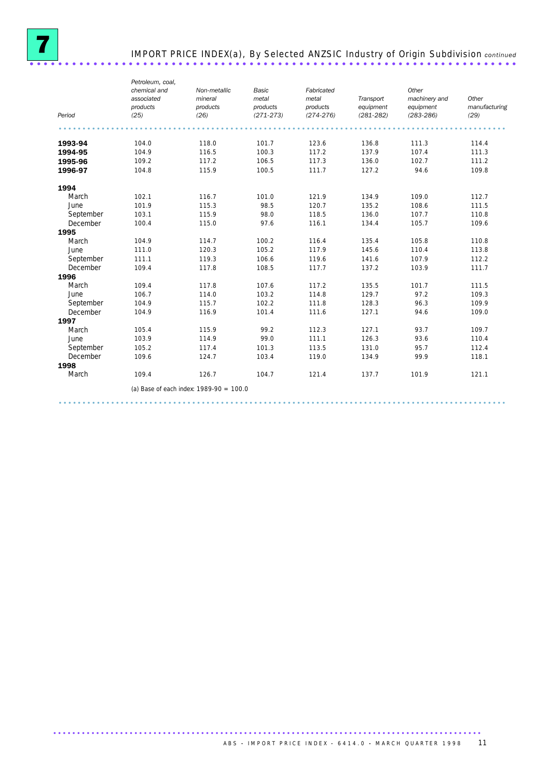

# IMPORT PRICE INDEX(a), By Selected ANZSIC Industry of Origin Subdivision *continued* ..................................................................... .

| Period    | Petroleum, coal,<br>chemical and<br>associated<br>products<br>(25) | Non-metallic<br>mineral<br>products<br>(26) | <b>Basic</b><br>metal<br>products<br>$(271 - 273)$ | Fabricated<br>metal<br>products<br>$(274 - 276)$ | Transport<br>equipment<br>$(281 - 282)$ | Other<br>machinery and<br>equipment<br>$(283 - 286)$ | Other<br>manufacturing<br>(29) |
|-----------|--------------------------------------------------------------------|---------------------------------------------|----------------------------------------------------|--------------------------------------------------|-----------------------------------------|------------------------------------------------------|--------------------------------|
|           |                                                                    |                                             |                                                    |                                                  |                                         |                                                      |                                |
| 1993-94   | 104.0                                                              | 118.0                                       | 101.7                                              | 123.6                                            | 136.8                                   | 111.3                                                | 114.4                          |
| 1994-95   | 104.9                                                              | 116.5                                       | 100.3                                              | 117.2                                            | 137.9                                   | 107.4                                                | 111.3                          |
| 1995-96   | 109.2                                                              | 117.2                                       | 106.5                                              | 117.3                                            | 136.0                                   | 102.7                                                | 111.2                          |
| 1996-97   | 104.8                                                              | 115.9                                       | 100.5                                              | 111.7                                            | 127.2                                   | 94.6                                                 | 109.8                          |
| 1994      |                                                                    |                                             |                                                    |                                                  |                                         |                                                      |                                |
| March     | 102.1                                                              | 116.7                                       | 101.0                                              | 121.9                                            | 134.9                                   | 109.0                                                | 112.7                          |
| June      | 101.9                                                              | 115.3                                       | 98.5                                               | 120.7                                            | 135.2                                   | 108.6                                                | 111.5                          |
| September | 103.1                                                              | 115.9                                       | 98.0                                               | 118.5                                            | 136.0                                   | 107.7                                                | 110.8                          |
| December  | 100.4                                                              | 115.0                                       | 97.6                                               | 116.1                                            | 134.4                                   | 105.7                                                | 109.6                          |
| 1995      |                                                                    |                                             |                                                    |                                                  |                                         |                                                      |                                |
| March     | 104.9                                                              | 114.7                                       | 100.2                                              | 116.4                                            | 135.4                                   | 105.8                                                | 110.8                          |
| June      | 111.0                                                              | 120.3                                       | 105.2                                              | 117.9                                            | 145.6                                   | 110.4                                                | 113.8                          |
| September | 111.1                                                              | 119.3                                       | 106.6                                              | 119.6                                            | 141.6                                   | 107.9                                                | 112.2                          |
| December  | 109.4                                                              | 117.8                                       | 108.5                                              | 117.7                                            | 137.2                                   | 103.9                                                | 111.7                          |
| 1996      |                                                                    |                                             |                                                    |                                                  |                                         |                                                      |                                |
| March     | 109.4                                                              | 117.8                                       | 107.6                                              | 117.2                                            | 135.5                                   | 101.7                                                | 111.5                          |
| June      | 106.7                                                              | 114.0                                       | 103.2                                              | 114.8                                            | 129.7                                   | 97.2                                                 | 109.3                          |
| September | 104.9                                                              | 115.7                                       | 102.2                                              | 111.8                                            | 128.3                                   | 96.3                                                 | 109.9                          |
| December  | 104.9                                                              | 116.9                                       | 101.4                                              | 111.6                                            | 127.1                                   | 94.6                                                 | 109.0                          |
| 1997      |                                                                    |                                             |                                                    |                                                  |                                         |                                                      |                                |
| March     | 105.4                                                              | 115.9                                       | 99.2                                               | 112.3                                            | 127.1                                   | 93.7                                                 | 109.7                          |
| June      | 103.9                                                              | 114.9                                       | 99.0                                               | 111.1                                            | 126.3                                   | 93.6                                                 | 110.4                          |
| September | 105.2                                                              | 117.4                                       | 101.3                                              | 113.5                                            | 131.0                                   | 95.7                                                 | 112.4                          |
| December  | 109.6                                                              | 124.7                                       | 103.4                                              | 119.0                                            | 134.9                                   | 99.9                                                 | 118.1                          |
| 1998      |                                                                    |                                             |                                                    |                                                  |                                         |                                                      |                                |
| March     | 109.4                                                              | 126.7                                       | 104.7                                              | 121.4                                            | 137.7                                   | 101.9                                                | 121.1                          |
|           |                                                                    | (a) Base of each index: $1989-90 = 100.0$   |                                                    |                                                  |                                         |                                                      |                                |
|           |                                                                    |                                             |                                                    |                                                  |                                         |                                                      |                                |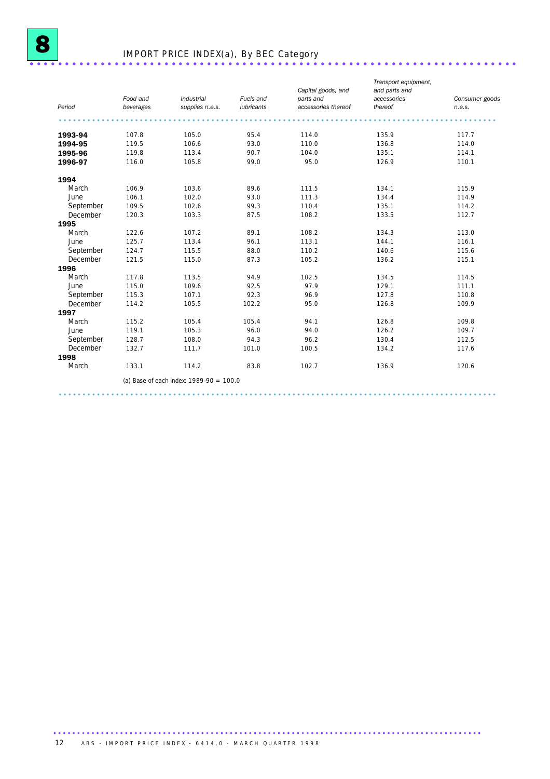

## IMPORT PRICE INDEX(a), By BEC Category ..................................................................... .

|           | Food and  | <b>Industrial</b>                         | Fuels and  | Capital goods, and<br>parts and | Transport equipment,<br>and parts and<br>accessories | Consumer goods |
|-----------|-----------|-------------------------------------------|------------|---------------------------------|------------------------------------------------------|----------------|
| Period    | beverages | supplies n.e.s.                           | lubricants | accessories thereof             | thereof                                              | n.e.s.         |
|           |           |                                           |            |                                 |                                                      |                |
| 1993-94   | 107.8     | 105.0                                     | 95.4       | 114.0                           | 135.9                                                | 117.7          |
| 1994-95   | 119.5     | 106.6                                     | 93.0       | 110.0                           | 136.8                                                | 114.0          |
| 1995-96   | 119.8     | 113.4                                     | 90.7       | 104.0                           | 135.1                                                | 114.1          |
| 1996-97   | 116.0     | 105.8                                     | 99.0       | 95.0                            | 126.9                                                | 110.1          |
| 1994      |           |                                           |            |                                 |                                                      |                |
| March     | 106.9     | 103.6                                     | 89.6       | 111.5                           | 134.1                                                | 115.9          |
| June      | 106.1     | 102.0                                     | 93.0       | 111.3                           | 134.4                                                | 114.9          |
| September | 109.5     | 102.6                                     | 99.3       | 110.4                           | 135.1                                                | 114.2          |
| December  | 120.3     | 103.3                                     | 87.5       | 108.2                           | 133.5                                                | 112.7          |
| 1995      |           |                                           |            |                                 |                                                      |                |
| March     | 122.6     | 107.2                                     | 89.1       | 108.2                           | 134.3                                                | 113.0          |
| June      | 125.7     | 113.4                                     | 96.1       | 113.1                           | 144.1                                                | 116.1          |
| September | 124.7     | 115.5                                     | 88.0       | 110.2                           | 140.6                                                | 115.6          |
| December  | 121.5     | 115.0                                     | 87.3       | 105.2                           | 136.2                                                | 115.1          |
| 1996      |           |                                           |            |                                 |                                                      |                |
| March     | 117.8     | 113.5                                     | 94.9       | 102.5                           | 134.5                                                | 114.5          |
| June      | 115.0     | 109.6                                     | 92.5       | 97.9                            | 129.1                                                | 111.1          |
| September | 115.3     | 107.1                                     | 92.3       | 96.9                            | 127.8                                                | 110.8          |
| December  | 114.2     | 105.5                                     | 102.2      | 95.0                            | 126.8                                                | 109.9          |
| 1997      |           |                                           |            |                                 |                                                      |                |
| March     | 115.2     | 105.4                                     | 105.4      | 94.1                            | 126.8                                                | 109.8          |
| June      | 119.1     | 105.3                                     | 96.0       | 94.0                            | 126.2                                                | 109.7          |
| September | 128.7     | 108.0                                     | 94.3       | 96.2                            | 130.4                                                | 112.5          |
| December  | 132.7     | 111.7                                     | 101.0      | 100.5                           | 134.2                                                | 117.6          |
| 1998      |           |                                           |            |                                 |                                                      |                |
| March     | 133.1     | 114.2                                     | 83.8       | 102.7                           | 136.9                                                | 120.6          |
|           |           | (a) Base of each index: $1989-90 = 100.0$ |            |                                 |                                                      |                |
|           |           |                                           |            |                                 |                                                      |                |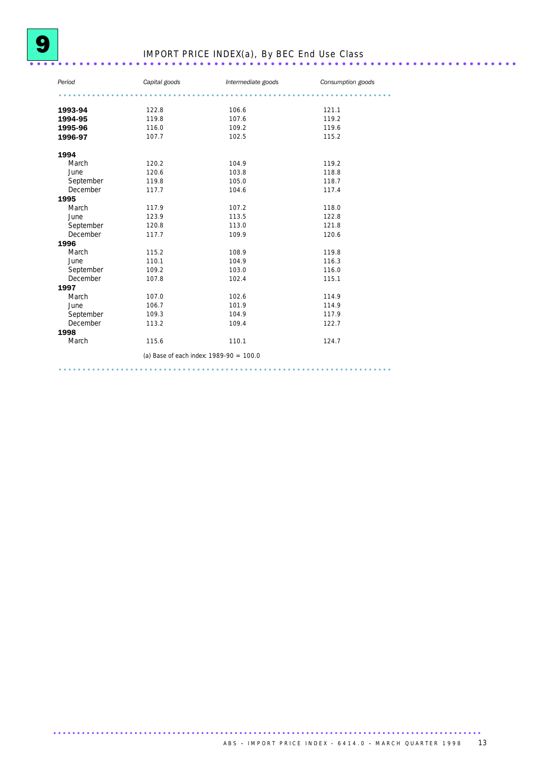# IMPORT PRICE INDEX(a), By BEC End Use Class ..................................................................... .

| Period                                    | Capital goods | Intermediate goods | Consumption goods |  |
|-------------------------------------------|---------------|--------------------|-------------------|--|
|                                           |               |                    |                   |  |
| 1993-94                                   | 122.8         | 106.6              | 121.1             |  |
| 1994-95                                   | 119.8         | 107.6              | 119.2             |  |
| 1995-96                                   | 116.0         | 109.2              | 119.6             |  |
| 1996-97                                   | 107.7         | 102.5              | 115.2             |  |
| 1994                                      |               |                    |                   |  |
| March                                     | 120.2         | 104.9              | 119.2             |  |
| June                                      | 120.6         | 103.8              | 118.8             |  |
| September                                 | 119.8         | 105.0              | 118.7             |  |
| December                                  | 117.7         | 104.6              | 117.4             |  |
| 1995                                      |               |                    |                   |  |
| March                                     | 117.9         | 107.2              | 118.0             |  |
| June                                      | 123.9         | 113.5              | 122.8             |  |
| September                                 | 120.8         | 113.0              | 121.8             |  |
| December                                  | 117.7         | 109.9              | 120.6             |  |
| 1996                                      |               |                    |                   |  |
| March                                     | 115.2         | 108.9              | 119.8             |  |
| June                                      | 110.1         | 104.9              | 116.3             |  |
| September                                 | 109.2         | 103.0              | 116.0             |  |
| December                                  | 107.8         | 102.4              | 115.1             |  |
| 1997                                      |               |                    |                   |  |
| March                                     | 107.0         | 102.6              | 114.9             |  |
| June                                      | 106.7         | 101.9              | 114.9             |  |
| September                                 | 109.3         | 104.9              | 117.9             |  |
| December                                  | 113.2         | 109.4              | 122.7             |  |
| 1998                                      |               |                    |                   |  |
| March                                     | 115.6         | 110.1              | 124.7             |  |
| (a) Base of each index: $1989-90 = 100.0$ |               |                    |                   |  |
|                                           |               |                    |                   |  |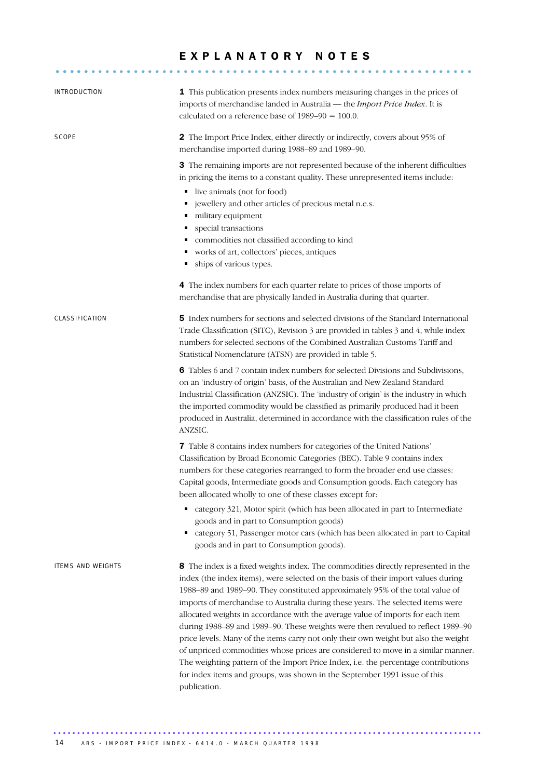### EXPLANATORY NOTES

........................................................... .....

| INTRODUCTION             | 1 This publication presents index numbers measuring changes in the prices of<br>imports of merchandise landed in Australia - the Import Price Index. It is<br>calculated on a reference base of $1989-90 = 100.0$ .                                                                                                                                                                                                                                                                                                                                                                                                                                                                                                                                                                                                                                                            |
|--------------------------|--------------------------------------------------------------------------------------------------------------------------------------------------------------------------------------------------------------------------------------------------------------------------------------------------------------------------------------------------------------------------------------------------------------------------------------------------------------------------------------------------------------------------------------------------------------------------------------------------------------------------------------------------------------------------------------------------------------------------------------------------------------------------------------------------------------------------------------------------------------------------------|
| SCOPE                    | 2 The Import Price Index, either directly or indirectly, covers about 95% of<br>merchandise imported during 1988–89 and 1989–90.                                                                                                                                                                                                                                                                                                                                                                                                                                                                                                                                                                                                                                                                                                                                               |
|                          | 3 The remaining imports are not represented because of the inherent difficulties<br>in pricing the items to a constant quality. These unrepresented items include:<br>live animals (not for food)<br>٠<br>jewellery and other articles of precious metal n.e.s.<br>٠<br>military equipment<br>٠<br>special transactions<br>٠<br>commodities not classified according to kind<br>works of art, collectors' pieces, antiques<br>ships of various types.<br>٠                                                                                                                                                                                                                                                                                                                                                                                                                     |
|                          | 4 The index numbers for each quarter relate to prices of those imports of<br>merchandise that are physically landed in Australia during that quarter.                                                                                                                                                                                                                                                                                                                                                                                                                                                                                                                                                                                                                                                                                                                          |
| CLASSIFICATION           | <b>5</b> Index numbers for sections and selected divisions of the Standard International<br>Trade Classification (SITC), Revision 3 are provided in tables 3 and 4, while index<br>numbers for selected sections of the Combined Australian Customs Tariff and<br>Statistical Nomenclature (ATSN) are provided in table 5.                                                                                                                                                                                                                                                                                                                                                                                                                                                                                                                                                     |
|                          | 6 Tables 6 and 7 contain index numbers for selected Divisions and Subdivisions,<br>on an 'industry of origin' basis, of the Australian and New Zealand Standard<br>Industrial Classification (ANZSIC). The 'industry of origin' is the industry in which<br>the imported commodity would be classified as primarily produced had it been<br>produced in Australia, determined in accordance with the classification rules of the<br>ANZSIC.                                                                                                                                                                                                                                                                                                                                                                                                                                    |
|                          | 7 Table 8 contains index numbers for categories of the United Nations'<br>Classification by Broad Economic Categories (BEC). Table 9 contains index<br>numbers for these categories rearranged to form the broader end use classes:<br>Capital goods, Intermediate goods and Consumption goods. Each category has<br>been allocated wholly to one of these classes except for:                                                                                                                                                                                                                                                                                                                                                                                                                                                                                                 |
|                          | category 321, Motor spirit (which has been allocated in part to Intermediate<br>٠<br>goods and in part to Consumption goods)<br>category 51, Passenger motor cars (which has been allocated in part to Capital<br>goods and in part to Consumption goods).                                                                                                                                                                                                                                                                                                                                                                                                                                                                                                                                                                                                                     |
| <b>ITEMS AND WEIGHTS</b> | 8 The index is a fixed weights index. The commodities directly represented in the<br>index (the index items), were selected on the basis of their import values during<br>1988-89 and 1989-90. They constituted approximately 95% of the total value of<br>imports of merchandise to Australia during these years. The selected items were<br>allocated weights in accordance with the average value of imports for each item<br>during 1988-89 and 1989-90. These weights were then revalued to reflect 1989-90<br>price levels. Many of the items carry not only their own weight but also the weight<br>of unpriced commodities whose prices are considered to move in a similar manner.<br>The weighting pattern of the Import Price Index, i.e. the percentage contributions<br>for index items and groups, was shown in the September 1991 issue of this<br>publication. |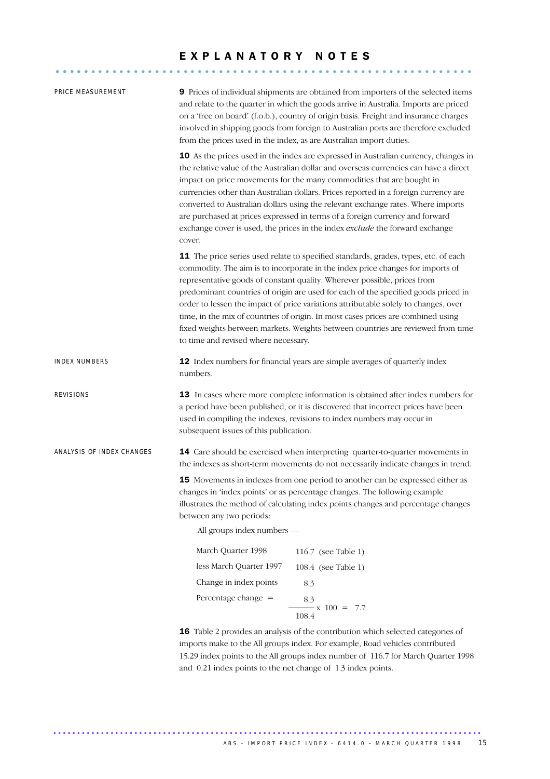### E X P L A N A T O R Y N O T E S

........................................................... .....

| PRICE MEASUREMENT         | 9 Prices of individual shipments are obtained from importers of the selected items<br>and relate to the quarter in which the goods arrive in Australia. Imports are priced<br>on a 'free on board' (f.o.b.), country of origin basis. Freight and insurance charges<br>involved in shipping goods from foreign to Australian ports are therefore excluded<br>from the prices used in the index, as are Australian import duties.                                                                                                                                                                                                              |  |  |  |
|---------------------------|-----------------------------------------------------------------------------------------------------------------------------------------------------------------------------------------------------------------------------------------------------------------------------------------------------------------------------------------------------------------------------------------------------------------------------------------------------------------------------------------------------------------------------------------------------------------------------------------------------------------------------------------------|--|--|--|
|                           | 10 As the prices used in the index are expressed in Australian currency, changes in<br>the relative value of the Australian dollar and overseas currencies can have a direct<br>impact on price movements for the many commodities that are bought in<br>currencies other than Australian dollars. Prices reported in a foreign currency are<br>converted to Australian dollars using the relevant exchange rates. Where imports<br>are purchased at prices expressed in terms of a foreign currency and forward<br>exchange cover is used, the prices in the index exclude the forward exchange<br>cover.                                    |  |  |  |
|                           | 11 The price series used relate to specified standards, grades, types, etc. of each<br>commodity. The aim is to incorporate in the index price changes for imports of<br>representative goods of constant quality. Wherever possible, prices from<br>predominant countries of origin are used for each of the specified goods priced in<br>order to lessen the impact of price variations attributable solely to changes, over<br>time, in the mix of countries of origin. In most cases prices are combined using<br>fixed weights between markets. Weights between countries are reviewed from time<br>to time and revised where necessary. |  |  |  |
| <b>INDEX NUMBERS</b>      | 12 Index numbers for financial years are simple averages of quarterly index<br>numbers.                                                                                                                                                                                                                                                                                                                                                                                                                                                                                                                                                       |  |  |  |
| REVISIONS                 | 13 In cases where more complete information is obtained after index numbers for<br>a period have been published, or it is discovered that incorrect prices have been<br>used in compiling the indexes, revisions to index numbers may occur in<br>subsequent issues of this publication.                                                                                                                                                                                                                                                                                                                                                      |  |  |  |
| ANALYSIS OF INDEX CHANGES | 14 Care should be exercised when interpreting quarter-to-quarter movements in<br>the indexes as short-term movements do not necessarily indicate changes in trend.                                                                                                                                                                                                                                                                                                                                                                                                                                                                            |  |  |  |
|                           | 15 Movements in indexes from one period to another can be expressed either as<br>changes in 'index points' or as percentage changes. The following example<br>illustrates the method of calculating index points changes and percentage changes<br>between any two periods:<br>All groups index numbers -                                                                                                                                                                                                                                                                                                                                     |  |  |  |
|                           | March Quarter 1998<br>116.7 (see Table 1)                                                                                                                                                                                                                                                                                                                                                                                                                                                                                                                                                                                                     |  |  |  |
|                           | less March Quarter 1997<br>108.4 (see Table 1)                                                                                                                                                                                                                                                                                                                                                                                                                                                                                                                                                                                                |  |  |  |
|                           | Change in index points<br>8.3                                                                                                                                                                                                                                                                                                                                                                                                                                                                                                                                                                                                                 |  |  |  |
|                           | Percentage change $=$<br>8.3<br>$-x 100 = 7.7$<br>108.4                                                                                                                                                                                                                                                                                                                                                                                                                                                                                                                                                                                       |  |  |  |
|                           | 16 Table 2 provides an analysis of the contribution which selected categories of<br>imports make to the All groups index. For example, Road vehicles contributed<br>15.29 index points to the All groups index number of 116.7 for March Quarter 1998<br>and 0.21 index points to the net change of 1.3 index points.                                                                                                                                                                                                                                                                                                                         |  |  |  |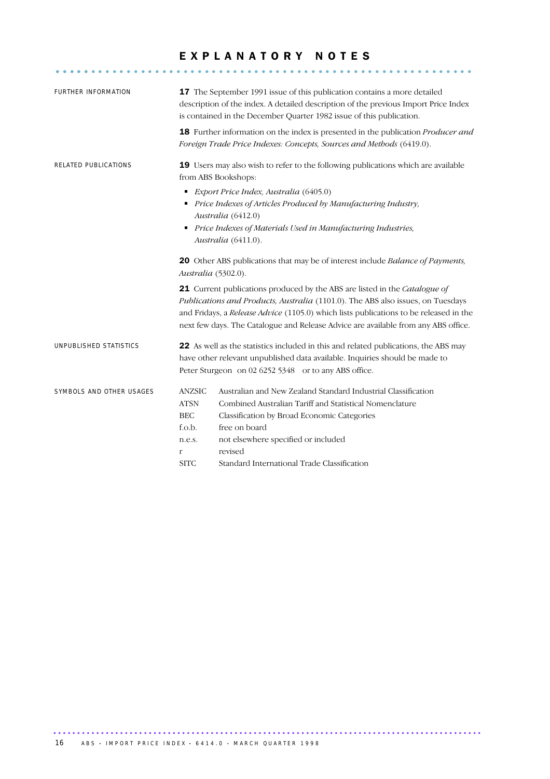### EXPLANATORY NOTES

........................................................... .....

| FURTHER INFORMATION      |                                                                                                                                                                                                                                                                                                                                              | 17 The September 1991 issue of this publication contains a more detailed<br>description of the index. A detailed description of the previous Import Price Index<br>is contained in the December Quarter 1982 issue of this publication.<br>18 Further information on the index is presented in the publication Producer and<br>Foreign Trade Price Indexes: Concepts, Sources and Methods (6419.0). |  |
|--------------------------|----------------------------------------------------------------------------------------------------------------------------------------------------------------------------------------------------------------------------------------------------------------------------------------------------------------------------------------------|-----------------------------------------------------------------------------------------------------------------------------------------------------------------------------------------------------------------------------------------------------------------------------------------------------------------------------------------------------------------------------------------------------|--|
| RELATED PUBLICATIONS     | 19 Users may also wish to refer to the following publications which are available<br>from ABS Bookshops:                                                                                                                                                                                                                                     |                                                                                                                                                                                                                                                                                                                                                                                                     |  |
|                          | Export Price Index, Australia (6405.0)<br>Price Indexes of Articles Produced by Manufacturing Industry,<br>Australia (6412.0)<br>Price Indexes of Materials Used in Manufacturing Industries,<br>٠<br>Australia (6411.0).                                                                                                                    |                                                                                                                                                                                                                                                                                                                                                                                                     |  |
|                          | 20 Other ABS publications that may be of interest include Balance of Payments,<br>Australia (5302.0).                                                                                                                                                                                                                                        |                                                                                                                                                                                                                                                                                                                                                                                                     |  |
|                          | 21 Current publications produced by the ABS are listed in the Catalogue of<br>Publications and Products, Australia (1101.0). The ABS also issues, on Tuesdays<br>and Fridays, a Release Advice (1105.0) which lists publications to be released in the<br>next few days. The Catalogue and Release Advice are available from any ABS office. |                                                                                                                                                                                                                                                                                                                                                                                                     |  |
| UNPUBLISHED STATISTICS   | 22 As well as the statistics included in this and related publications, the ABS may<br>have other relevant unpublished data available. Inquiries should be made to<br>Peter Sturgeon on 02 6252 5348 or to any ABS office.                                                                                                                   |                                                                                                                                                                                                                                                                                                                                                                                                     |  |
| SYMBOLS AND OTHER USAGES | <b>ANZSIC</b><br><b>ATSN</b><br><b>BEC</b><br>f.o.b.<br>n.e.s.<br>r<br><b>SITC</b>                                                                                                                                                                                                                                                           | Australian and New Zealand Standard Industrial Classification<br>Combined Australian Tariff and Statistical Nomenclature<br>Classification by Broad Economic Categories<br>free on board<br>not elsewhere specified or included<br>revised<br>Standard International Trade Classification                                                                                                           |  |